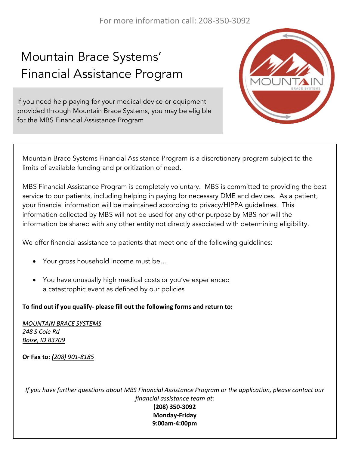# Mountain Brace Systems' Financial Assistance Program

If you need help paying for your medical device or equipment provided through Mountain Brace Systems, you may be eligible for the MBS Financial Assistance Program



Mountain Brace Systems Financial Assistance Program is a discretionary program subject to the limits of available funding and prioritization of need.

MBS Financial Assistance Program is completely voluntary. MBS is committed to providing the best service to our patients, including helping in paying for necessary DME and devices. As a patient, your financial information will be maintained according to privacy/HIPPA guidelines. This information collected by MBS will not be used for any other purpose by MBS nor will the information be shared with any other entity not directly associated with determining eligibility.

We offer financial assistance to patients that meet one of the following guidelines:

- Your gross household income must be…
- You have unusually high medical costs or you've experienced a catastrophic event as defined by our policies

#### To find out if you qualify- please fill out the following forms and return to:

*MOUNTAIN BRACE SYSTEMS 248 S Cole Rd Boise, ID 83709*

**Or Fax to:** *(208) 901-8185*

*If* you have further questions about MBS Financial Assistance Program or the application, please contact our *financial assistance team at:*

**(208) 350-3092 Monday-Friday 9:00am-4:00pm**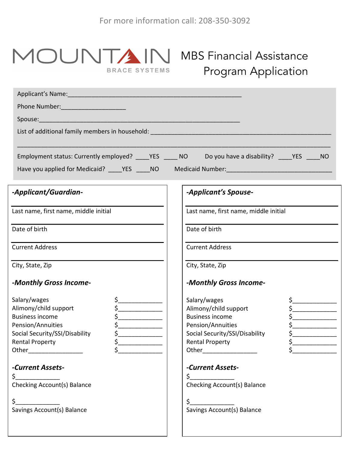#### MOUNTA **BRACE SYSTEMS**

## MBS Financial Assistance Program Application

| Phone Number: Management Phone Number:                                                                                                                                                                     |                                                                                                                                                                                    |  |
|------------------------------------------------------------------------------------------------------------------------------------------------------------------------------------------------------------|------------------------------------------------------------------------------------------------------------------------------------------------------------------------------------|--|
|                                                                                                                                                                                                            |                                                                                                                                                                                    |  |
|                                                                                                                                                                                                            |                                                                                                                                                                                    |  |
| Employment status: Currently employed? _____YES ______ NO                                                                                                                                                  |                                                                                                                                                                                    |  |
|                                                                                                                                                                                                            | Have you applied for Medicaid? _____YES _____NO Medicaid Number: ___________________________________                                                                               |  |
| -Applicant/Guardian-                                                                                                                                                                                       | -Applicant's Spouse-                                                                                                                                                               |  |
| Last name, first name, middle initial                                                                                                                                                                      | Last name, first name, middle initial                                                                                                                                              |  |
| Date of birth                                                                                                                                                                                              | Date of birth                                                                                                                                                                      |  |
| <b>Current Address</b>                                                                                                                                                                                     | <b>Current Address</b>                                                                                                                                                             |  |
| City, State, Zip                                                                                                                                                                                           | City, State, Zip                                                                                                                                                                   |  |
| -Monthly Gross Income-                                                                                                                                                                                     | -Monthly Gross Income-                                                                                                                                                             |  |
| Salary/wages<br>Alimony/child support<br>$\frac{1}{2}$<br><b>Business income</b><br>$\zeta$<br>Pension/Annuities<br>Social Security/SSI/Disability<br>$\mathsf{s}\_$<br>\$<br><b>Rental Property</b><br>\$ | Salary/wages<br>Alimony/child support<br><b>Business income</b><br>Pension/Annuities<br>Social Security/SSI/Disability<br>\$<br><b>Rental Property</b><br>Other___________________ |  |
| -Current Assets-<br>\$.<br><b>Checking Account(s) Balance</b>                                                                                                                                              | -Current Assets-<br>\$.<br><b>Checking Account(s) Balance</b>                                                                                                                      |  |
| \$<br>Savings Account(s) Balance                                                                                                                                                                           | \$<br>Savings Account(s) Balance                                                                                                                                                   |  |
|                                                                                                                                                                                                            |                                                                                                                                                                                    |  |